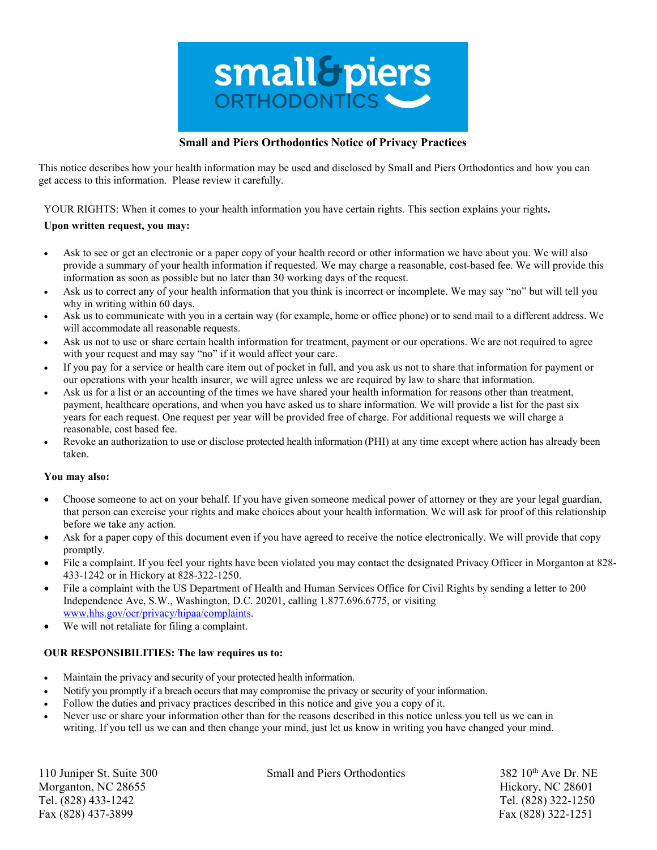

# **Small and Piers Orthodontics Notice of Privacy Practices**

This notice describes how your health information may be used and disclosed by Small and Piers Orthodontics and how you can get access to this information. Please review it carefully.

YOUR RIGHTS: When it comes to your health information you have certain rights. This section explains your rights**.**

## **Upon written request, you may:**

- Ask to see or get an electronic or a paper copy of your health record or other information we have about you. We will also provide a summary of your health information if requested. We may charge a reasonable, cost-based fee. We will provide this information as soon as possible but no later than 30 working days of the request.
- Ask us to correct any of your health information that you think is incorrect or incomplete. We may say "no" but will tell you why in writing within 60 days.
- Ask us to communicate with you in a certain way (for example, home or office phone) or to send mail to a different address. We will accommodate all reasonable requests.
- Ask us not to use or share certain health information for treatment, payment or our operations. We are not required to agree with your request and may say "no" if it would affect your care.
- If you pay for a service or health care item out of pocket in full, and you ask us not to share that information for payment or our operations with your health insurer, we will agree unless we are required by law to share that information.
- Ask us for a list or an accounting of the times we have shared your health information for reasons other than treatment, payment, healthcare operations, and when you have asked us to share information. We will provide a list for the past six years for each request. One request per year will be provided free of charge. For additional requests we will charge a reasonable, cost based fee.
- Revoke an authorization to use or disclose protected health information (PHI) at any time except where action has already been taken.

### **You may also:**

- Choose someone to act on your behalf. If you have given someone medical power of attorney or they are your legal guardian, that person can exercise your rights and make choices about your health information. We will ask for proof of this relationship before we take any action.
- Ask for a paper copy of this document even if you have agreed to receive the notice electronically. We will provide that copy promptly.
- File a complaint. If you feel your rights have been violated you may contact the designated Privacy Officer in Morganton at 828- 433-1242 or in Hickory at 828-322-1250.
- File a complaint with the US Department of Health and Human Services Office for Civil Rights by sending a letter to 200 Independence Ave, S.W., Washington, D.C. 20201, calling 1.877.696.6775, or visiting [www.hhs.gov/ocr/privacy/hipaa/complaints.](http://www.hhs.gov/ocr/privacy/hipaa/complaints)
- We will not retaliate for filing a complaint.

#### **OUR RESPONSIBILITIES: The law requires us to:**

- Maintain the privacy and security of your protected health information.
- Notify you promptly if a breach occurs that may compromise the privacy or security of your information.
- Follow the duties and privacy practices described in this notice and give you a copy of it.
- Never use or share your information other than for the reasons described in this notice unless you tell us we can in writing. If you tell us we can and then change your mind, just let us know in writing you have changed your mind.

Morganton, NC 28655 Hickory, NC 28601 Tel. (828) 433-1242 Tel. (828) 322-1250 Fax (828) 437-3899 Fax (828) 322-1251

110 Juniper St. Suite 300 Small and Piers Orthodontics 382 10<sup>th</sup> Ave Dr. NE